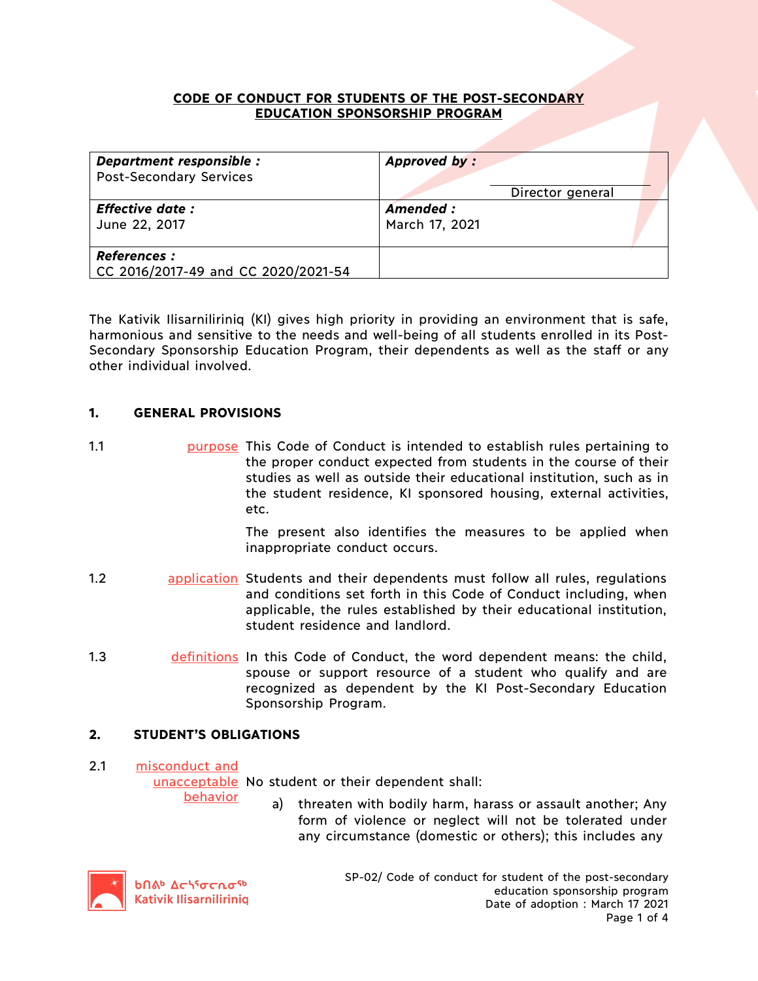# **CODE OF CONDUCT FOR STUDENTS OF THE POST-SECONDARY EDUCATION SPONSORSHIP PROGRAM**

| Department responsible :                                   | Approved by:     |
|------------------------------------------------------------|------------------|
| <b>Post-Secondary Services</b>                             | Director general |
| <b>Effective date:</b>                                     | Amended :        |
| June 22, 2017                                              | March 17, 2021   |
| <b>References :</b><br>CC 2016/2017-49 and CC 2020/2021-54 |                  |

The Kativik Ilisarniliriniq (KI) gives high priority in providing an environment that is safe, harmonious and sensitive to the needs and well-being of all students enrolled in its Post-Secondary Sponsorship Education Program, their dependents as well as the staff or any other individual involved.

# **1. GENERAL PROVISIONS**

1.1 purpose This Code of Conduct is intended to establish rules pertaining to the proper conduct expected from students in the course of their studies as well as outside their educational institution, such as in the student residence, KI sponsored housing, external activities, etc.

> The present also identifies the measures to be applied when inappropriate conduct occurs.

- 1.2 application Students and their dependents must follow all rules, regulations and conditions set forth in this Code of Conduct including, when applicable, the rules established by their educational institution, student residence and landlord.
- 1.3 definitions In this Code of Conduct, the word dependent means: the child, spouse or support resource of a student who qualify and are recognized as dependent by the KI Post-Secondary Education Sponsorship Program.

# **2. STUDENT'S OBLIGATIONS**

### 2.1 misconduct and

unacceptable No student or their dependent shall:

behavior

a) threaten with bodily harm, harass or assault another; Any form of violence or neglect will not be tolerated under any circumstance (domestic or others); this includes any



SP-02/ Code of conduct for student of the post-secondary education sponsorship program Date of adoption : March 17 2021 Page 1 of 4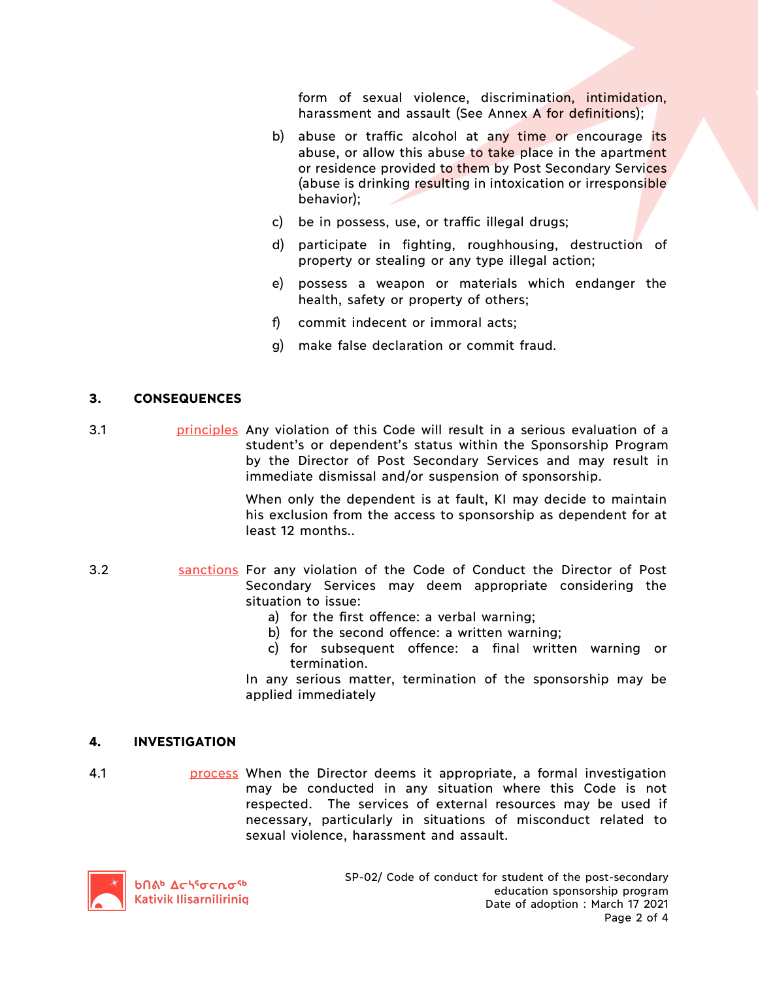form of sexual violence, discrimination, intimidation, harassment and assault (See Annex A for definitions);

- b) abuse or traffic alcohol at any time or encourage its abuse, or allow this abuse to take place in the apartment or residence provided to them by Post Secondary Services (abuse is drinking resulting in intoxication or irresponsible behavior);
- c) be in possess, use, or traffic illegal drugs;
- d) participate in fighting, roughhousing, destruction of property or stealing or any type illegal action;
- e) possess a weapon or materials which endanger the health, safety or property of others;
- f) commit indecent or immoral acts;
- g) make false declaration or commit fraud.

### **3. CONSEQUENCES**

3.1 **principles** Any violation of this Code will result in a serious evaluation of a student's or dependent's status within the Sponsorship Program by the Director of Post Secondary Services and may result in immediate dismissal and/or suspension of sponsorship.

> When only the dependent is at fault, KI may decide to maintain his exclusion from the access to sponsorship as dependent for at least 12 months..

- 3.2 **Sanctions For any violation of the Code of Conduct the Director of Post** Secondary Services may deem appropriate considering the situation to issue:
	- a) for the first offence: a verbal warning;
	- b) for the second offence: a written warning;
	- c) for subsequent offence: a final written warning or termination.

In any serious matter, termination of the sponsorship may be applied immediately

#### **4. INVESTIGATION**

4.1 process When the Director deems it appropriate, a formal investigation may be conducted in any situation where this Code is not respected. The services of external resources may be used if necessary, particularly in situations of misconduct related to sexual violence, harassment and assault.

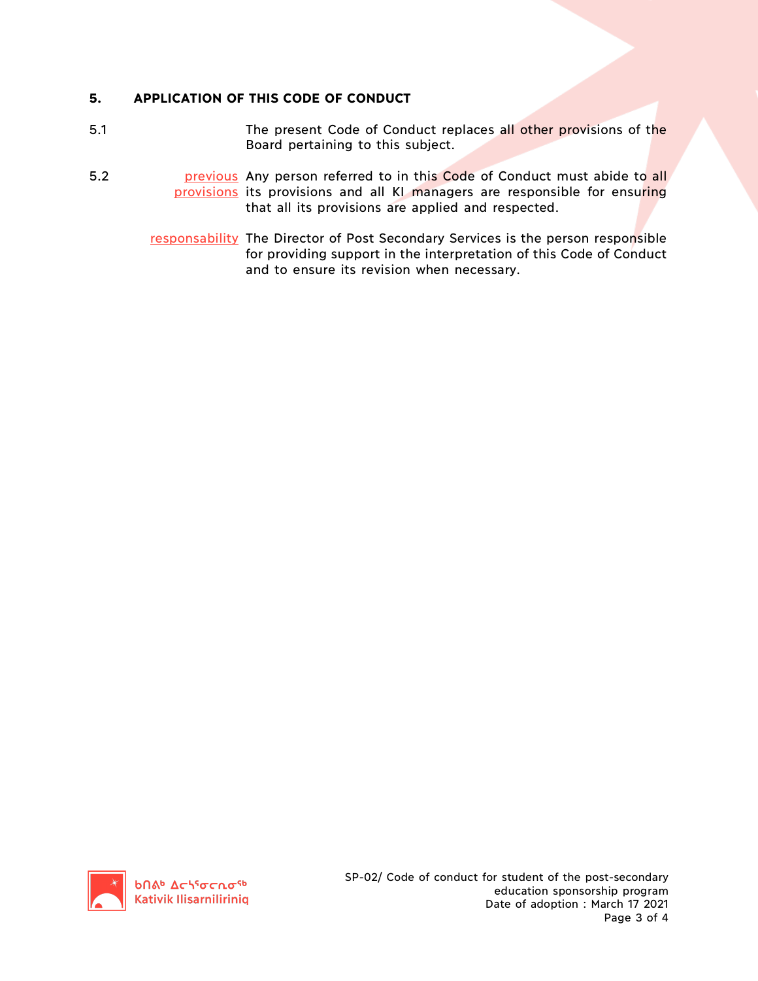# **5. APPLICATION OF THIS CODE OF CONDUCT**

- 5.1 The present Code of Conduct replaces all other provisions of the Board pertaining to this subject.
- 5.2 **bish previous** Any person referred to in this Code of Conduct must abide to all provisions its provisions and all KI managers are responsible for ensuring that all its provisions are applied and respected.
	- responsability The Director of Post Secondary Services is the person responsible for providing support in the interpretation of this Code of Conduct and to ensure its revision when necessary.